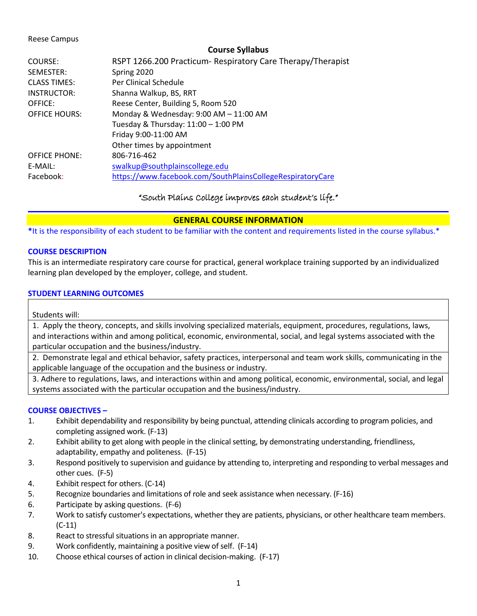#### Reese Campus

#### **Course Syllabus**

| COURSE:<br>SEMESTER: | RSPT 1266.200 Practicum- Respiratory Care Therapy/Therapist<br>Spring 2020 |
|----------------------|----------------------------------------------------------------------------|
| <b>CLASS TIMES:</b>  | Per Clinical Schedule                                                      |
| INSTRUCTOR:          | Shanna Walkup, BS, RRT                                                     |
| OFFICE:              | Reese Center, Building 5, Room 520                                         |
| <b>OFFICE HOURS:</b> | Monday & Wednesday: 9:00 AM - 11:00 AM                                     |
|                      | Tuesday & Thursday: 11:00 - 1:00 PM                                        |
|                      | Friday 9:00-11:00 AM                                                       |
|                      | Other times by appointment                                                 |
| <b>OFFICE PHONE:</b> | 806-716-462                                                                |
| E-MAIL:              | swalkup@southplainscollege.edu                                             |
| Facebook:            | https://www.facebook.com/SouthPlainsCollegeRespiratoryCare                 |

## "South Plains College improves each student's life."

## **GENERAL COURSE INFORMATION**

**\***It is the responsibility of each student to be familiar with the content and requirements listed in the course syllabus.\*

### **COURSE DESCRIPTION**

This is an intermediate respiratory care course for practical, general workplace training supported by an individualized learning plan developed by the employer, college, and student.

### **STUDENT LEARNING OUTCOMES**

Students will:

1. Apply the theory, concepts, and skills involving specialized materials, equipment, procedures, regulations, laws, and interactions within and among political, economic, environmental, social, and legal systems associated with the particular occupation and the business/industry.

2. Demonstrate legal and ethical behavior, safety practices, interpersonal and team work skills, communicating in the applicable language of the occupation and the business or industry.

3. Adhere to regulations, laws, and interactions within and among political, economic, environmental, social, and legal systems associated with the particular occupation and the business/industry.

### **COURSE OBJECTIVES –**

- 1. Exhibit dependability and responsibility by being punctual, attending clinicals according to program policies, and completing assigned work. (F-13)
- 2. Exhibit ability to get along with people in the clinical setting, by demonstrating understanding, friendliness, adaptability, empathy and politeness. (F-15)
- 3. Respond positively to supervision and guidance by attending to, interpreting and responding to verbal messages and other cues. (F-5)
- 4. Exhibit respect for others. (C-14)
- 5. Recognize boundaries and limitations of role and seek assistance when necessary. (F-16)
- 6. Participate by asking questions. (F-6)
- 7. Work to satisfy customer's expectations, whether they are patients, physicians, or other healthcare team members. (C-11)
- 8. React to stressful situations in an appropriate manner.
- 9. Work confidently, maintaining a positive view of self. (F-14)
- 10. Choose ethical courses of action in clinical decision-making. (F-17)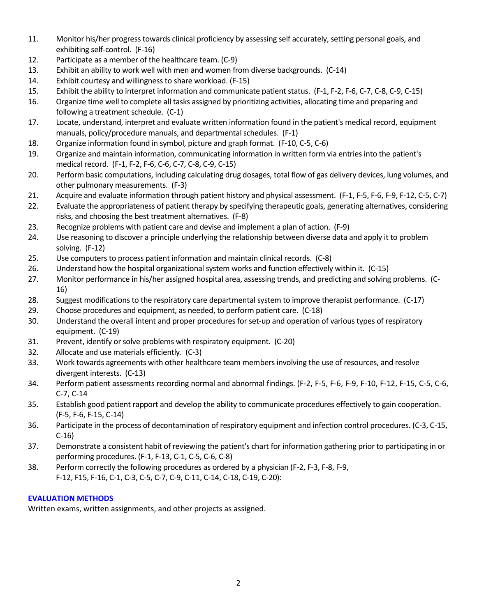- 11. Monitor his/her progress towards clinical proficiency by assessing self accurately, setting personal goals, and exhibiting self-control. (F-16)
- 12. Participate as a member of the healthcare team. (C-9)
- 13. Exhibit an ability to work well with men and women from diverse backgrounds. (C-14)
- 14. Exhibit courtesy and willingness to share workload. (F-15)
- 15. Exhibit the ability to interpret information and communicate patient status. (F-1, F-2, F-6, C-7, C-8, C-9, C-15)
- 16. Organize time well to complete all tasks assigned by prioritizing activities, allocating time and preparing and following a treatment schedule. (C-1)
- 17. Locate, understand, interpret and evaluate written information found in the patient's medical record, equipment manuals, policy/procedure manuals, and departmental schedules. (F-1)
- 18. Organize information found in symbol, picture and graph format. (F-10, C-5, C-6)
- 19. Organize and maintain information, communicating information in written form via entries into the patient's medical record. (F-1, F-2, F-6, C-6, C-7, C-8, C-9, C-15)
- 20. Perform basic computations, including calculating drug dosages, total flow of gas delivery devices, lung volumes, and other pulmonary measurements. (F-3)
- 21. Acquire and evaluate information through patient history and physical assessment. (F-1, F-5, F-6, F-9, F-12, C-5, C-7)
- 22. Evaluate the appropriateness of patient therapy by specifying therapeutic goals, generating alternatives, considering risks, and choosing the best treatment alternatives. (F-8)
- 23. Recognize problems with patient care and devise and implement a plan of action. (F-9)
- 24. Use reasoning to discover a principle underlying the relationship between diverse data and apply it to problem solving. (F-12)
- 25. Use computers to process patient information and maintain clinical records. (C-8)
- 26. Understand how the hospital organizational system works and function effectively within it. (C-15)
- 27. Monitor performance in his/her assigned hospital area, assessing trends, and predicting and solving problems. (C-16)
- 28. Suggest modifications to the respiratory care departmental system to improve therapist performance. (C-17)
- 29. Choose procedures and equipment, as needed, to perform patient care. (C-18)
- 30. Understand the overall intent and proper procedures for set-up and operation of various types of respiratory equipment. (C-19)
- 31. Prevent, identify or solve problems with respiratory equipment. (C-20)
- 32. Allocate and use materials efficiently. (C-3)
- 33. Work towards agreements with other healthcare team members involving the use of resources, and resolve divergent interests. (C-13)
- 34. Perform patient assessments recording normal and abnormal findings. (F-2, F-5, F-6, F-9, F-10, F-12, F-15, C-5, C-6, C-7, C-14
- 35. Establish good patient rapport and develop the ability to communicate procedures effectively to gain cooperation. (F-5, F-6, F-15, C-14)
- 36. Participate in the process of decontamination of respiratory equipment and infection control procedures. (C-3, C-15, C-16)
- 37. Demonstrate a consistent habit of reviewing the patient's chart for information gathering prior to participating in or performing procedures. (F-1, F-13, C-1, C-5, C-6, C-8)
- 38. Perform correctly the following procedures as ordered by a physician (F-2, F-3, F-8, F-9, F-12, F15, F-16, C-1, C-3, C-5, C-7, C-9, C-11, C-14, C-18, C-19, C-20):

## **EVALUATION METHODS**

Written exams, written assignments, and other projects as assigned.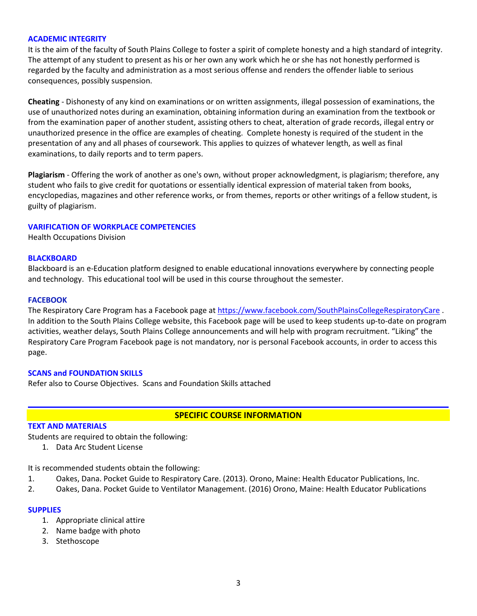#### **ACADEMIC INTEGRITY**

It is the aim of the faculty of South Plains College to foster a spirit of complete honesty and a high standard of integrity. The attempt of any student to present as his or her own any work which he or she has not honestly performed is regarded by the faculty and administration as a most serious offense and renders the offender liable to serious consequences, possibly suspension.

**Cheating** - Dishonesty of any kind on examinations or on written assignments, illegal possession of examinations, the use of unauthorized notes during an examination, obtaining information during an examination from the textbook or from the examination paper of another student, assisting others to cheat, alteration of grade records, illegal entry or unauthorized presence in the office are examples of cheating. Complete honesty is required of the student in the presentation of any and all phases of coursework. This applies to quizzes of whatever length, as well as final examinations, to daily reports and to term papers.

**Plagiarism** - Offering the work of another as one's own, without proper acknowledgment, is plagiarism; therefore, any student who fails to give credit for quotations or essentially identical expression of material taken from books, encyclopedias, magazines and other reference works, or from themes, reports or other writings of a fellow student, is guilty of plagiarism.

#### **VARIFICATION OF WORKPLACE COMPETENCIES**

Health Occupations Division

#### **BLACKBOARD**

Blackboard is an e-Education platform designed to enable educational innovations everywhere by connecting people and technology. This educational tool will be used in this course throughout the semester.

#### **FACEBOOK**

The Respiratory Care Program has a Facebook page at <https://www.facebook.com/SouthPlainsCollegeRespiratoryCare>. In addition to the South Plains College website, this Facebook page will be used to keep students up-to-date on program activities, weather delays, South Plains College announcements and will help with program recruitment. "Liking" the Respiratory Care Program Facebook page is not mandatory, nor is personal Facebook accounts, in order to access this page.

#### **SCANS and FOUNDATION SKILLS**

Refer also to Course Objectives. Scans and Foundation Skills attached

#### **SPECIFIC COURSE INFORMATION**

#### **TEXT AND MATERIALS**

Students are required to obtain the following:

1. Data Arc Student License

It is recommended students obtain the following:

- 1. Oakes, Dana. Pocket Guide to Respiratory Care. (2013). Orono, Maine: Health Educator Publications, Inc.
- 2. Oakes, Dana. Pocket Guide to Ventilator Management. (2016) Orono, Maine: Health Educator Publications

#### **SUPPLIES**

- 1. Appropriate clinical attire
- 2. Name badge with photo
- 3. Stethoscope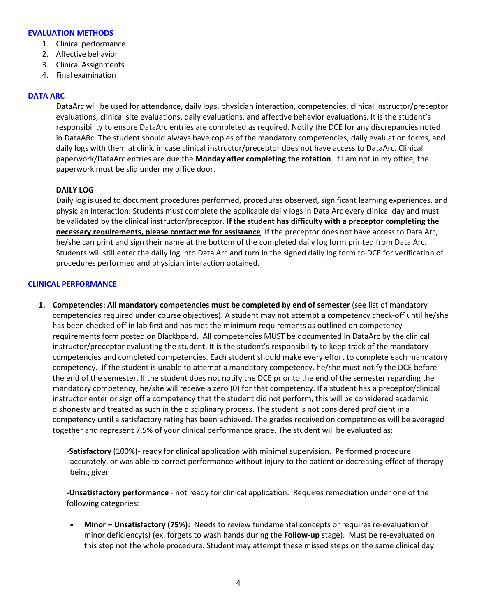#### **EVALUATION METHODS**

- 1. Clinical performance
- 2. Affective behavior
- 3. Clinical Assignments
- 4. Final examination

#### **DATA ARC**

DataArc will be used for attendance, daily logs, physician interaction, competencies, clinical instructor/preceptor evaluations, clinical site evaluations, daily evaluations, and affective behavior evaluations. It is the student's responsibility to ensure DataArc entries are completed as required. Notify the DCE for any discrepancies noted in DataARc. The student should always have copies of the mandatory competencies, daily evaluation forms, and daily logs with them at clinic in case clinical instructor/preceptor does not have access to DataArc. Clinical paperwork/DataArc entries are due the **Monday after completing the rotation**. If I am not in my office, the paperwork must be slid under my office door.

### **DAILY LOG**

Daily log is used to document procedures performed, procedures observed, significant learning experiences, and physician interaction. Students must complete the applicable daily logs in Data Arc every clinical day and must be validated by the clinical instructor/preceptor. **If the student has difficulty with a preceptor completing the necessary requirements, please contact me for assistance**. If the preceptor does not have access to Data Arc, he/she can print and sign their name at the bottom of the completed daily log form printed from Data Arc. Students will still enter the daily log into Data Arc and turn in the signed daily log form to DCE for verification of procedures performed and physician interaction obtained.

### **CLINICAL PERFORMANCE**

**1. Competencies: All mandatory competencies must be completed by end of semester** (see list of mandatory competencies required under course objectives). A student may not attempt a competency check-off until he/she has been checked off in lab first and has met the minimum requirements as outlined on competency requirements form posted on Blackboard. All competencies MUST be documented in DataArc by the clinical instructor/preceptor evaluating the student. It is the student's responsibility to keep track of the mandatory competencies and completed competencies. Each student should make every effort to complete each mandatory competency. If the student is unable to attempt a mandatory competency, he/she must notify the DCE before the end of the semester. If the student does not notify the DCE prior to the end of the semester regarding the mandatory competency, he/she will receive a zero (0) for that competency. If a student has a preceptor/clinical instructor enter or sign off a competency that the student did not perform, this will be considered academic dishonesty and treated as such in the disciplinary process. The student is not considered proficient in a competency until a satisfactory rating has been achieved. The grades received on competencies will be averaged together and represent 7.5% of your clinical performance grade. The student will be evaluated as:

**-Satisfactory** (100%)- ready for clinical application with minimal supervision. Performed procedure accurately, or was able to correct performance without injury to the patient or decreasing effect of therapy being given.

**-Unsatisfactory performance** - not ready for clinical application. Requires remediation under one of the following categories:

• **Minor – Unsatisfactory (75%):** Needs to review fundamental concepts or requires re-evaluation of minor deficiency(s) (ex. forgets to wash hands during the **Follow-up** stage). Must be re-evaluated on this step not the whole procedure. Student may attempt these missed steps on the same clinical day.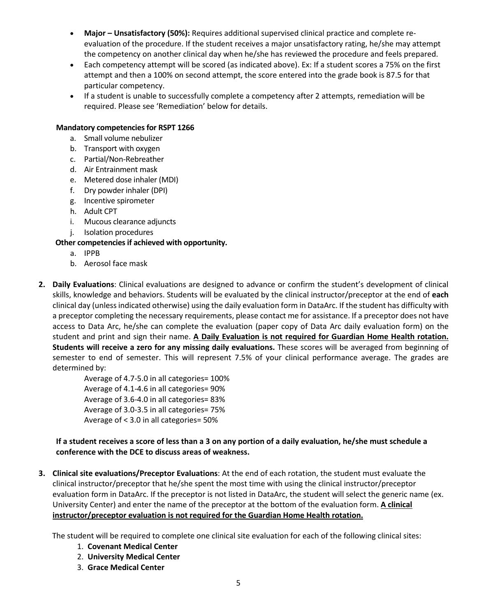- **Major – Unsatisfactory (50%):** Requires additional supervised clinical practice and complete reevaluation of the procedure. If the student receives a major unsatisfactory rating, he/she may attempt the competency on another clinical day when he/she has reviewed the procedure and feels prepared.
- Each competency attempt will be scored (as indicated above). Ex: If a student scores a 75% on the first attempt and then a 100% on second attempt, the score entered into the grade book is 87.5 for that particular competency.
- If a student is unable to successfully complete a competency after 2 attempts, remediation will be required. Please see 'Remediation' below for details.

## **Mandatory competencies for RSPT 1266**

- a. Small volume nebulizer
- b. Transport with oxygen
- c. Partial/Non-Rebreather
- d. Air Entrainment mask
- e. Metered dose inhaler (MDI)
- f. Dry powder inhaler (DPI)
- g. Incentive spirometer
- h. Adult CPT
- i. Mucous clearance adjuncts
- j. Isolation procedures

## **Other competencies if achieved with opportunity.**

- a. IPPB
- b. Aerosol face mask
- **2. Daily Evaluations**: Clinical evaluations are designed to advance or confirm the student's development of clinical skills, knowledge and behaviors. Students will be evaluated by the clinical instructor/preceptor at the end of **each**  clinical day (unless indicated otherwise) using the daily evaluation form in DataArc. If the student has difficulty with a preceptor completing the necessary requirements, please contact me for assistance. If a preceptor does not have access to Data Arc, he/she can complete the evaluation (paper copy of Data Arc daily evaluation form) on the student and print and sign their name. **A Daily Evaluation is not required for Guardian Home Health rotation. Students will receive a zero for any missing daily evaluations.** These scores will be averaged from beginning of semester to end of semester. This will represent 7.5% of your clinical performance average. The grades are determined by:

Average of 4.7-5.0 in all categories= 100% Average of 4.1-4.6 in all categories= 90% Average of 3.6-4.0 in all categories= 83% Average of 3.0-3.5 in all categories= 75% Average of < 3.0 in all categories= 50%

## **If a student receives a score of less than a 3 on any portion of a daily evaluation, he/she must schedule a conference with the DCE to discuss areas of weakness.**

**3. Clinical site evaluations/Preceptor Evaluations**: At the end of each rotation, the student must evaluate the clinical instructor/preceptor that he/she spent the most time with using the clinical instructor/preceptor evaluation form in DataArc. If the preceptor is not listed in DataArc, the student will select the generic name (ex. University Center) and enter the name of the preceptor at the bottom of the evaluation form. **A clinical instructor/preceptor evaluation is not required for the Guardian Home Health rotation.**

The student will be required to complete one clinical site evaluation for each of the following clinical sites:

- 1. **Covenant Medical Center**
- 2. **University Medical Center**
- 3. **Grace Medical Center**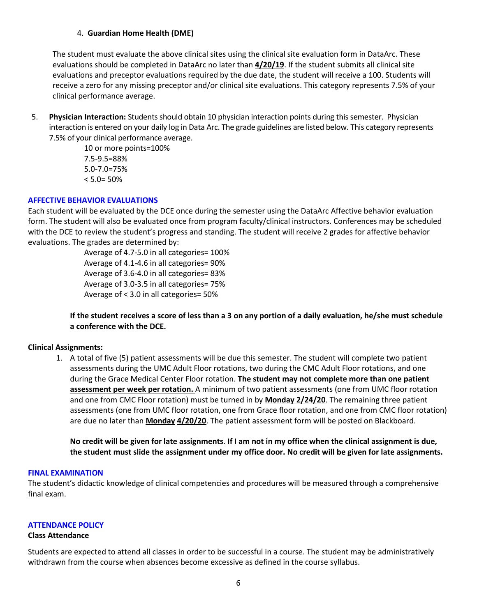### 4. **Guardian Home Health (DME)**

The student must evaluate the above clinical sites using the clinical site evaluation form in DataArc. These evaluations should be completed in DataArc no later than **4/20/19**. If the student submits all clinical site evaluations and preceptor evaluations required by the due date, the student will receive a 100. Students will receive a zero for any missing preceptor and/or clinical site evaluations. This category represents 7.5% of your clinical performance average.

5. **Physician Interaction:** Students should obtain 10 physician interaction points during this semester. Physician interaction is entered on your daily log in Data Arc. The grade guidelines are listed below. This category represents 7.5% of your clinical performance average.

> 10 or more points=100% 7.5-9.5=88% 5.0-7.0=75%  $< 5.0 = 50\%$

### **AFFECTIVE BEHAVIOR EVALUATIONS**

Each student will be evaluated by the DCE once during the semester using the DataArc Affective behavior evaluation form. The student will also be evaluated once from program faculty/clinical instructors. Conferences may be scheduled with the DCE to review the student's progress and standing. The student will receive 2 grades for affective behavior evaluations. The grades are determined by:

> Average of 4.7-5.0 in all categories= 100% Average of 4.1-4.6 in all categories= 90% Average of 3.6-4.0 in all categories= 83% Average of 3.0-3.5 in all categories= 75% Average of < 3.0 in all categories= 50%

## **If the student receives a score of less than a 3 on any portion of a daily evaluation, he/she must schedule a conference with the DCE.**

#### **Clinical Assignments:**

1. A total of five (5) patient assessments will be due this semester. The student will complete two patient assessments during the UMC Adult Floor rotations, two during the CMC Adult Floor rotations, and one during the Grace Medical Center Floor rotation. **The student may not complete more than one patient assessment per week per rotation.** A minimum of two patient assessments (one from UMC floor rotation and one from CMC Floor rotation) must be turned in by **Monday 2/24/20**. The remaining three patient assessments (one from UMC floor rotation, one from Grace floor rotation, and one from CMC floor rotation) are due no later than **Monday 4/20/20**. The patient assessment form will be posted on Blackboard.

**No credit will be given for late assignments**. **If I am not in my office when the clinical assignment is due, the student must slide the assignment under my office door. No credit will be given for late assignments.**

#### **FINAL EXAMINATION**

The student's didactic knowledge of clinical competencies and procedures will be measured through a comprehensive final exam.

#### **ATTENDANCE POLICY**

#### **Class Attendance**

Students are expected to attend all classes in order to be successful in a course. The student may be administratively withdrawn from the course when absences become excessive as defined in the course syllabus.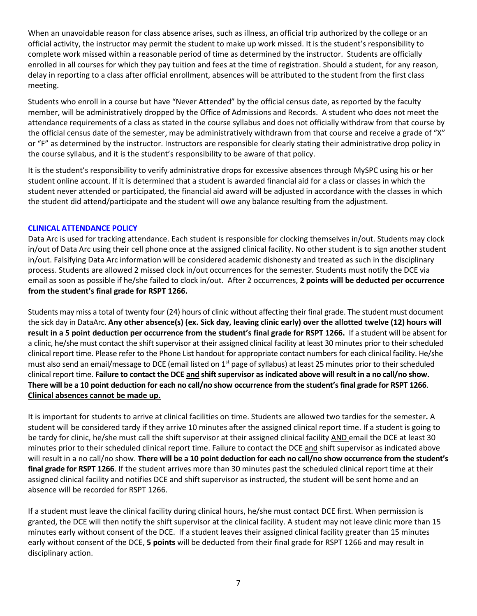When an unavoidable reason for class absence arises, such as illness, an official trip authorized by the college or an official activity, the instructor may permit the student to make up work missed. It is the student's responsibility to complete work missed within a reasonable period of time as determined by the instructor. Students are officially enrolled in all courses for which they pay tuition and fees at the time of registration. Should a student, for any reason, delay in reporting to a class after official enrollment, absences will be attributed to the student from the first class meeting.

Students who enroll in a course but have "Never Attended" by the official census date, as reported by the faculty member, will be administratively dropped by the Office of Admissions and Records. A student who does not meet the attendance requirements of a class as stated in the course syllabus and does not officially withdraw from that course by the official census date of the semester, may be administratively withdrawn from that course and receive a grade of "X" or "F" as determined by the instructor. Instructors are responsible for clearly stating their administrative drop policy in the course syllabus, and it is the student's responsibility to be aware of that policy.

It is the student's responsibility to verify administrative drops for excessive absences through MySPC using his or her student online account. If it is determined that a student is awarded financial aid for a class or classes in which the student never attended or participated, the financial aid award will be adjusted in accordance with the classes in which the student did attend/participate and the student will owe any balance resulting from the adjustment.

## **CLINICAL ATTENDANCE POLICY**

Data Arc is used for tracking attendance. Each student is responsible for clocking themselves in/out. Students may clock in/out of Data Arc using their cell phone once at the assigned clinical facility. No other student is to sign another student in/out. Falsifying Data Arc information will be considered academic dishonesty and treated as such in the disciplinary process. Students are allowed 2 missed clock in/out occurrences for the semester. Students must notify the DCE via email as soon as possible if he/she failed to clock in/out. After 2 occurrences, **2 points will be deducted per occurrence from the student's final grade for RSPT 1266.** 

Students may miss a total of twenty four (24) hours of clinic without affecting their final grade. The student must document the sick day in DataArc. **Any other absence(s) (ex. Sick day, leaving clinic early) over the allotted twelve (12) hours will result in a 5 point deduction per occurrence from the student's final grade for RSPT 1266.** If a student will be absent for a clinic, he/she must contact the shift supervisor at their assigned clinical facility at least 30 minutes prior to their scheduled clinical report time. Please refer to the Phone List handout for appropriate contact numbers for each clinical facility. He/she must also send an email/message to DCE (email listed on  $1<sup>st</sup>$  page of syllabus) at least 25 minutes prior to their scheduled clinical report time. **Failure to contact the DCE and shift supervisor as indicated above will result in a no call/no show. There will be a 10 point deduction for each no call/no show occurrence from the student's final grade for RSPT 1266**. **Clinical absences cannot be made up.**

It is important for students to arrive at clinical facilities on time. Students are allowed two tardies for the semester**.** A student will be considered tardy if they arrive 10 minutes after the assigned clinical report time. If a student is going to be tardy for clinic, he/she must call the shift supervisor at their assigned clinical facility AND email the DCE at least 30 minutes prior to their scheduled clinical report time. Failure to contact the DCE and shift supervisor as indicated above will result in a no call/no show. **There will be a 10 point deduction for each no call/no show occurrence from the student's final grade for RSPT 1266**. If the student arrives more than 30 minutes past the scheduled clinical report time at their assigned clinical facility and notifies DCE and shift supervisor as instructed, the student will be sent home and an absence will be recorded for RSPT 1266.

If a student must leave the clinical facility during clinical hours, he/she must contact DCE first. When permission is granted, the DCE will then notify the shift supervisor at the clinical facility. A student may not leave clinic more than 15 minutes early without consent of the DCE. If a student leaves their assigned clinical facility greater than 15 minutes early without consent of the DCE, **5 points** will be deducted from their final grade for RSPT 1266 and may result in disciplinary action.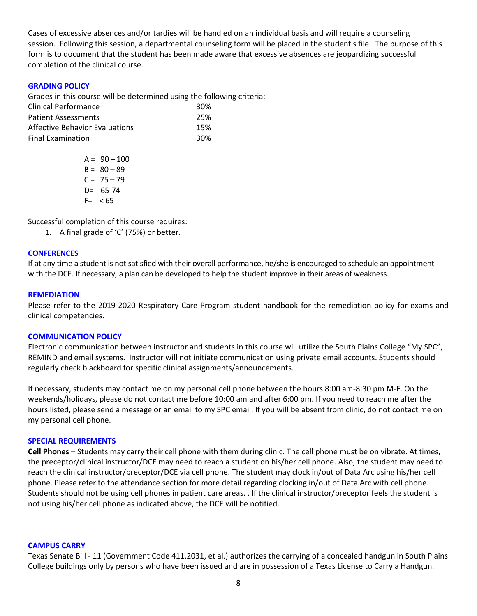Cases of excessive absences and/or tardies will be handled on an individual basis and will require a counseling session. Following this session, a departmental counseling form will be placed in the student's file. The purpose of this form is to document that the student has been made aware that excessive absences are jeopardizing successful completion of the clinical course.

### **GRADING POLICY**

Grades in this course will be determined using the following criteria:

| Clinical Performance           | 30% |
|--------------------------------|-----|
| <b>Patient Assessments</b>     | 25% |
| Affective Behavior Evaluations | 15% |
| <b>Final Examination</b>       | 30% |

 $A = 90 - 100$  $B = 80 - 89$  $C = 75 - 79$  $D = 65 - 74$  $F = < 65$ 

Successful completion of this course requires:

1. A final grade of 'C' (75%) or better.

#### **CONFERENCES**

If at any time a student is not satisfied with their overall performance, he/she is encouraged to schedule an appointment with the DCE. If necessary, a plan can be developed to help the student improve in their areas of weakness.

#### **REMEDIATION**

Please refer to the 2019-2020 Respiratory Care Program student handbook for the remediation policy for exams and clinical competencies.

#### **COMMUNICATION POLICY**

Electronic communication between instructor and students in this course will utilize the South Plains College "My SPC", REMIND and email systems. Instructor will not initiate communication using private email accounts. Students should regularly check blackboard for specific clinical assignments/announcements.

If necessary, students may contact me on my personal cell phone between the hours 8:00 am-8:30 pm M-F. On the weekends/holidays, please do not contact me before 10:00 am and after 6:00 pm. If you need to reach me after the hours listed, please send a message or an email to my SPC email. If you will be absent from clinic, do not contact me on my personal cell phone.

#### **SPECIAL REQUIREMENTS**

**Cell Phones** – Students may carry their cell phone with them during clinic. The cell phone must be on vibrate. At times, the preceptor/clinical instructor/DCE may need to reach a student on his/her cell phone. Also, the student may need to reach the clinical instructor/preceptor/DCE via cell phone. The student may clock in/out of Data Arc using his/her cell phone. Please refer to the attendance section for more detail regarding clocking in/out of Data Arc with cell phone. Students should not be using cell phones in patient care areas. . If the clinical instructor/preceptor feels the student is not using his/her cell phone as indicated above, the DCE will be notified.

#### **CAMPUS CARRY**

Texas Senate Bill - 11 (Government Code 411.2031, et al.) authorizes the carrying of a concealed handgun in South Plains College buildings only by persons who have been issued and are in possession of a Texas License to Carry a Handgun.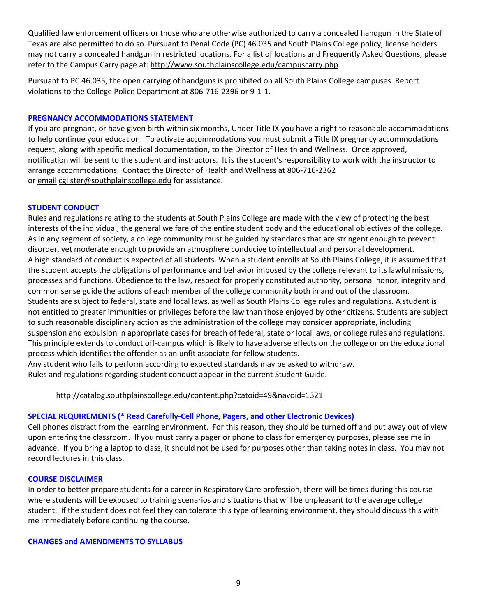Qualified law enforcement officers or those who are otherwise authorized to carry a concealed handgun in the State of Texas are also permitted to do so. Pursuant to Penal Code (PC) 46.035 and South Plains College policy, license holders may not carry a concealed handgun in restricted locations. For a list of locations and Frequently Asked Questions, please refer to the Campus Carry page at: <http://www.southplainscollege.edu/campuscarry.php>

Pursuant to PC 46.035, the open carrying of handguns is prohibited on all South Plains College campuses. Report violations to the College Police Department at 806-716-2396 or 9-1-1.

#### **PREGNANCY ACCOMMODATIONS STATEMENT**

If you are pregnant, or have given birth within six months, Under Title IX you have a right to reasonable accommodations to help continue your education. To [activate](http://www.southplainscollege.edu/employees/manualshandbooks/facultyhandbook/sec4.php) accommodations you must submit a Title IX pregnancy accommodations request, along with specific medical documentation, to the Director of Health and Wellness. Once approved, notification will be sent to the student and instructors. It is the student's responsibility to work with the instructor to arrange accommodations. Contact the Director of Health and Wellness at 806-716-2362 or [email](http://www.southplainscollege.edu/employees/manualshandbooks/facultyhandbook/sec4.php) [cgilster@southplainscollege.edu](mailto:cgilster@southplainscollege.edu) for assistance.

### **STUDENT CONDUCT**

Rules and regulations relating to the students at South Plains College are made with the view of protecting the best interests of the individual, the general welfare of the entire student body and the educational objectives of the college. As in any segment of society, a college community must be guided by standards that are stringent enough to prevent disorder, yet moderate enough to provide an atmosphere conducive to intellectual and personal development. A high standard of conduct is expected of all students. When a student enrolls at South Plains College, it is assumed that the student accepts the obligations of performance and behavior imposed by the college relevant to its lawful missions, processes and functions. Obedience to the law, respect for properly constituted authority, personal honor, integrity and common sense guide the actions of each member of the college community both in and out of the classroom. Students are subject to federal, state and local laws, as well as South Plains College rules and regulations. A student is not entitled to greater immunities or privileges before the law than those enjoyed by other citizens. Students are subject to such reasonable disciplinary action as the administration of the college may consider appropriate, including suspension and expulsion in appropriate cases for breach of federal, state or local laws, or college rules and regulations. This principle extends to conduct off-campus which is likely to have adverse effects on the college or on the educational process which identifies the offender as an unfit associate for fellow students.

Any student who fails to perform according to expected standards may be asked to withdraw. Rules and regulations regarding student conduct appear in the current Student Guide.

http://catalog.southplainscollege.edu/content.php?catoid=49&navoid=1321

#### **SPECIAL REQUIREMENTS (\* Read Carefully-Cell Phone, Pagers, and other Electronic Devices)**

Cell phones distract from the learning environment. For this reason, they should be turned off and put away out of view upon entering the classroom. If you must carry a pager or phone to class for emergency purposes, please see me in advance. If you bring a laptop to class, it should not be used for purposes other than taking notes in class. You may not record lectures in this class.

### **COURSE DISCLAIMER**

In order to better prepare students for a career in Respiratory Care profession, there will be times during this course where students will be exposed to training scenarios and situations that will be unpleasant to the average college student. If the student does not feel they can tolerate this type of learning environment, they should discuss this with me immediately before continuing the course.

#### **CHANGES and AMENDMENTS TO SYLLABUS**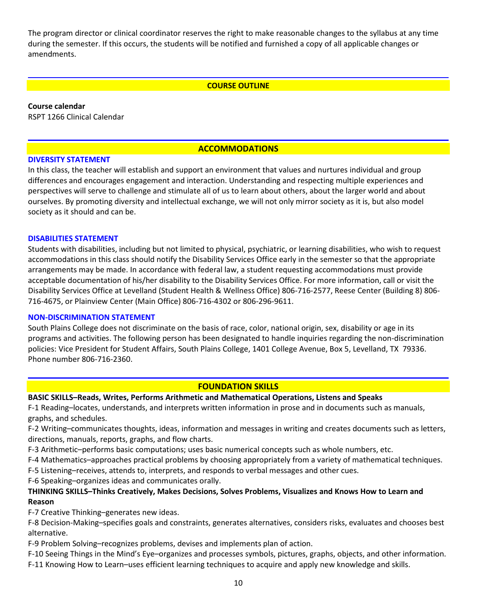The program director or clinical coordinator reserves the right to make reasonable changes to the syllabus at any time during the semester. If this occurs, the students will be notified and furnished a copy of all applicable changes or amendments.

### **COURSE OUTLINE**

**Course calendar**

RSPT 1266 Clinical Calendar

### **ACCOMMODATIONS**

### **DIVERSITY STATEMENT**

In this class, the teacher will establish and support an environment that values and nurtures individual and group differences and encourages engagement and interaction. Understanding and respecting multiple experiences and perspectives will serve to challenge and stimulate all of us to learn about others, about the larger world and about ourselves. By promoting diversity and intellectual exchange, we will not only mirror society as it is, but also model society as it should and can be.

### **DISABILITIES STATEMENT**

Students with disabilities, including but not limited to physical, psychiatric, or learning disabilities, who wish to request accommodations in this class should notify the Disability Services Office early in the semester so that the appropriate arrangements may be made. In accordance with federal law, a student requesting accommodations must provide acceptable documentation of his/her disability to the Disability Services Office. For more information, call or visit the Disability Services Office at Levelland (Student Health & Wellness Office) 806-716-2577, Reese Center (Building 8) 806- 716-4675, or Plainview Center (Main Office) 806-716-4302 or 806-296-9611.

#### **NON-DISCRIMINATION STATEMENT**

South Plains College does not discriminate on the basis of race, color, national origin, sex, disability or age in its programs and activities. The following person has been designated to handle inquiries regarding the non-discrimination policies: Vice President for Student Affairs, South Plains College, 1401 College Avenue, Box 5, Levelland, TX 79336. Phone number 806-716-2360.

### **FOUNDATION SKILLS**

### **BASIC SKILLS–Reads, Writes, Performs Arithmetic and Mathematical Operations, Listens and Speaks**

F-1 Reading–locates, understands, and interprets written information in prose and in documents such as manuals, graphs, and schedules.

F-2 Writing–communicates thoughts, ideas, information and messages in writing and creates documents such as letters, directions, manuals, reports, graphs, and flow charts.

F-3 Arithmetic–performs basic computations; uses basic numerical concepts such as whole numbers, etc.

F-4 Mathematics–approaches practical problems by choosing appropriately from a variety of mathematical techniques.

F-5 Listening–receives, attends to, interprets, and responds to verbal messages and other cues.

F-6 Speaking–organizes ideas and communicates orally.

## **THINKING SKILLS–Thinks Creatively, Makes Decisions, Solves Problems, Visualizes and Knows How to Learn and Reason**

F-7 Creative Thinking–generates new ideas.

F-8 Decision-Making–specifies goals and constraints, generates alternatives, considers risks, evaluates and chooses best alternative.

F-9 Problem Solving–recognizes problems, devises and implements plan of action.

F-10 Seeing Things in the Mind's Eye–organizes and processes symbols, pictures, graphs, objects, and other information. F-11 Knowing How to Learn–uses efficient learning techniques to acquire and apply new knowledge and skills.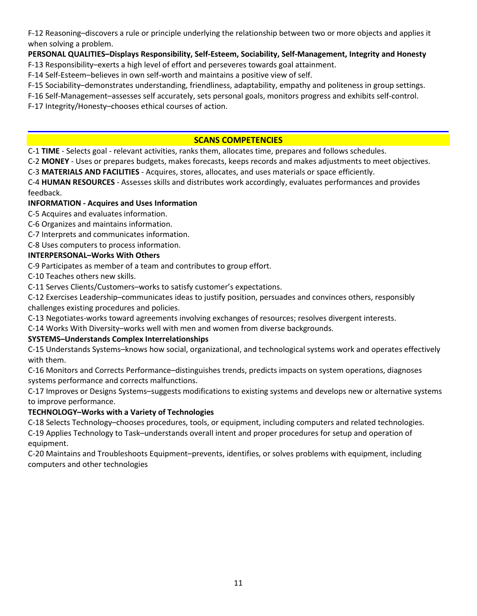F-12 Reasoning–discovers a rule or principle underlying the relationship between two or more objects and applies it when solving a problem.

## **PERSONAL QUALITIES–Displays Responsibility, Self-Esteem, Sociability, Self-Management, Integrity and Honesty**

F-13 Responsibility–exerts a high level of effort and perseveres towards goal attainment.

F-14 Self-Esteem–believes in own self-worth and maintains a positive view of self.

F-15 Sociability–demonstrates understanding, friendliness, adaptability, empathy and politeness in group settings.

F-16 Self-Management–assesses self accurately, sets personal goals, monitors progress and exhibits self-control.

F-17 Integrity/Honesty–chooses ethical courses of action.

## **SCANS COMPETENCIES**

C-1 **TIME** - Selects goal - relevant activities, ranks them, allocates time, prepares and follows schedules.

C-2 **MONEY** - Uses or prepares budgets, makes forecasts, keeps records and makes adjustments to meet objectives.

C-3 **MATERIALS AND FACILITIES** - Acquires, stores, allocates, and uses materials or space efficiently.

C-4 **HUMAN RESOURCES** - Assesses skills and distributes work accordingly, evaluates performances and provides feedback.

## **INFORMATION - Acquires and Uses Information**

C-5 Acquires and evaluates information.

- C-6 Organizes and maintains information.
- C-7 Interprets and communicates information.

C-8 Uses computers to process information.

## **INTERPERSONAL–Works With Others**

C-9 Participates as member of a team and contributes to group effort.

C-10 Teaches others new skills.

C-11 Serves Clients/Customers–works to satisfy customer's expectations.

C-12 Exercises Leadership–communicates ideas to justify position, persuades and convinces others, responsibly challenges existing procedures and policies.

C-13 Negotiates-works toward agreements involving exchanges of resources; resolves divergent interests.

C-14 Works With Diversity–works well with men and women from diverse backgrounds.

## **SYSTEMS–Understands Complex Interrelationships**

C-15 Understands Systems–knows how social, organizational, and technological systems work and operates effectively with them.

C-16 Monitors and Corrects Performance–distinguishes trends, predicts impacts on system operations, diagnoses systems performance and corrects malfunctions.

C-17 Improves or Designs Systems–suggests modifications to existing systems and develops new or alternative systems to improve performance.

## **TECHNOLOGY–Works with a Variety of Technologies**

C-18 Selects Technology–chooses procedures, tools, or equipment, including computers and related technologies. C-19 Applies Technology to Task–understands overall intent and proper procedures for setup and operation of

equipment.

C-20 Maintains and Troubleshoots Equipment–prevents, identifies, or solves problems with equipment, including computers and other technologies